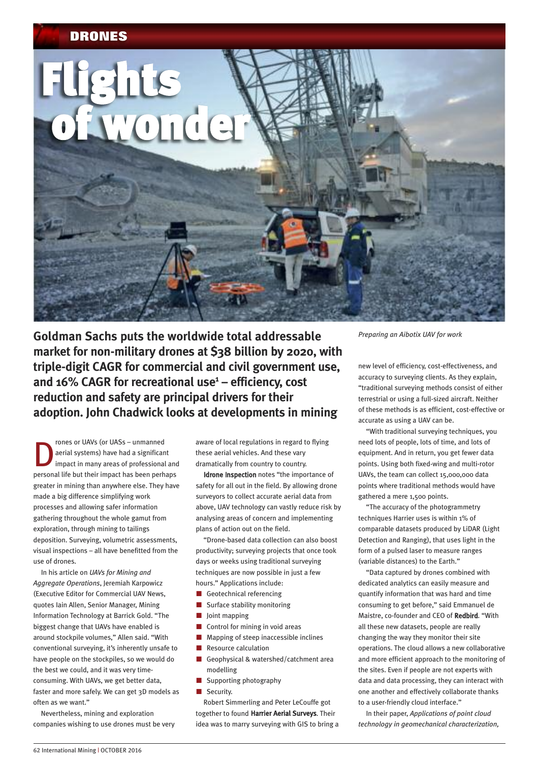

**Goldman Sachs puts the worldwide total addressable market for non-military drones at \$38 billion by 2020, with triple-digit CAGR for commercial and civil government use, and 16% CAGR for recreational use1 – efficiency, cost reduction and safety are principal drivers for their adoption. John Chadwick looks at developments in mining**

The rones or UAVs (or UASs – unmanned<br>aerial systems) have had a significar<br>impact in many areas of professional aerial systems) have had a significant impact in many areas of professional and personal life but their impact has been perhaps greater in mining than anywhere else. They have made a big difference simplifying work processes and allowing safer information gathering throughout the whole gamut from exploration, through mining to tailings deposition. Surveying, volumetric assessments, visual inspections – all have benefitted from the use of drones.

In his article on *UAVs for Mining and Aggregate Operations*, Jeremiah Karpowicz (Executive Editor for Commercial UAV News, quotes Iain Allen, Senior Manager, Mining Information Technology at Barrick Gold. "The biggest change that UAVs have enabled is around stockpile volumes," Allen said. "With conventional surveying, it's inherently unsafe to have people on the stockpiles, so we would do the best we could, and it was very timeconsuming. With UAVs, we get better data, faster and more safely. We can get 3D models as often as we want."

Nevertheless, mining and exploration companies wishing to use drones must be very aware of local regulations in regard to flying these aerial vehicles. And these vary dramatically from country to country.

Idrone Inspection notes "the importance of safety for all out in the field. By allowing drone surveyors to collect accurate aerial data from above, UAV technology can vastly reduce risk by analysing areas of concern and implementing plans of action out on the field.

"Drone-based data collection can also boost productivity; surveying projects that once took days or weeks using traditional surveying techniques are now possible in just a few hours." Applications include:

- Geotechnical referencing
- $\blacksquare$  Surface stability monitoring
- $\blacksquare$  Joint mapping
- $\Box$  Control for mining in void areas
- $\blacksquare$  Mapping of steep inaccessible inclines
- **Resource calculation**
- Geophysical & watershed/catchment area modelling
- $\blacksquare$  Supporting photography
- $\blacksquare$  Security.

Robert Simmerling and Peter LeCouffe got together to found Harrier Aerial Surveys. Their idea was to marry surveying with GIS to bring a *Preparing an Aibotix UAV for work*

new level of efficiency, cost-effectiveness, and accuracy to surveying clients. As they explain, "traditional surveying methods consist of either terrestrial or using a full-sized aircraft. Neither of these methods is as efficient, cost-effective or accurate as using a UAV can be.

"With traditional surveying techniques, you need lots of people, lots of time, and lots of equipment. And in return, you get fewer data points. Using both fixed-wing and multi-rotor UAVs, the team can collect 15,000,000 data points where traditional methods would have gathered a mere 1,500 points.

"The accuracy of the photogrammetry techniques Harrier uses is within 1% of comparable datasets produced by LiDAR (Light Detection and Ranging), that uses light in the form of a pulsed laser to measure ranges (variable distances) to the Earth."

"Data captured by drones combined with dedicated analytics can easily measure and quantify information that was hard and time consuming to get before," said Emmanuel de Maistre, co-founder and CEO of Redbird. "With all these new datasets, people are really changing the way they monitor their site operations. The cloud allows a new collaborative and more efficient approach to the monitoring of the sites. Even if people are not experts with data and data processing, they can interact with one another and effectively collaborate thanks to a user-friendly cloud interface."

In their paper, *Applications of point cloud technology in geomechanical characterization,*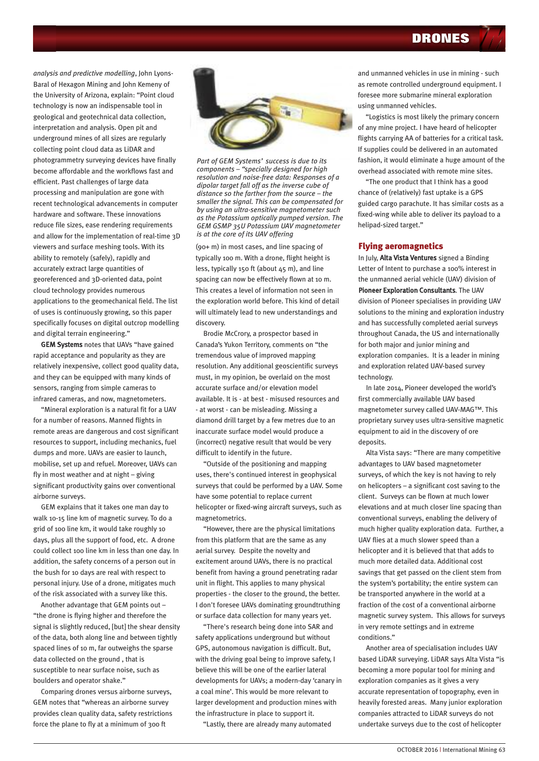*analysis and predictive modelling*, John Lyons-Baral of Hexagon Mining and John Kemeny of the University of Arizona, explain: "Point cloud technology is now an indispensable tool in geological and geotechnical data collection, interpretation and analysis. Open pit and underground mines of all sizes are regularly collecting point cloud data as LiDAR and photogrammetry surveying devices have finally become affordable and the workflows fast and efficient. Past challenges of large data processing and manipulation are gone with recent technological advancements in computer hardware and software. These innovations reduce file sizes, ease rendering requirements and allow for the implementation of real-time 3D viewers and surface meshing tools. With its ability to remotely (safely), rapidly and accurately extract large quantities of georeferenced and 3D-oriented data, point cloud technology provides numerous applications to the geomechanical field. The list of uses is continuously growing, so this paper specifically focuses on digital outcrop modelling and digital terrain engineering."

GEM Systems notes that UAVs "have gained rapid acceptance and popularity as they are relatively inexpensive, collect good quality data, and they can be equipped with many kinds of sensors, ranging from simple cameras to infrared cameras, and now, magnetometers.

"Mineral exploration is a natural fit for a UAV for a number of reasons. Manned flights in remote areas are dangerous and cost significant resources to support, including mechanics, fuel dumps and more. UAVs are easier to launch, mobilise, set up and refuel. Moreover, UAVs can fly in most weather and at night – giving significant productivity gains over conventional airborne surveys.

GEM explains that it takes one man day to walk 10-15 line km of magnetic survey. To do a grid of 100 line km, it would take roughly 10 days, plus all the support of food, etc. A drone could collect 100 line km in less than one day. In addition, the safety concerns of a person out in the bush for 10 days are real with respect to personal injury. Use of a drone, mitigates much of the risk associated with a survey like this.

Another advantage that GEM points out – "the drone is flying higher and therefore the signal is slightly reduced, [but] the shear density of the data, both along line and between tightly spaced lines of 10 m, far outweighs the sparse data collected on the ground , that is susceptible to near surface noise, such as boulders and operator shake."

Comparing drones versus airborne surveys, GEM notes that "whereas an airborne survey provides clean quality data, safety restrictions force the plane to fly at a minimum of 300 ft



*Part of GEM Systems' success is due to its components – "specially designed for high resolution and noise-free data: Responses of a dipolar target fall off as the inverse cube of distance so the farther from the source – the smaller the signal. This can be compensated for by using an ultra-sensitive magnetometer such as the Potassium optically pumped version. The GEM GSMP 35U Potassium UAV magnetometer is at the core of its UAV offering*

(90+ m) in most cases, and line spacing of typically 100 m. With a drone, flight height is less, typically 150 ft (about 45 m), and line spacing can now be effectively flown at 10 m. This creates a level of information not seen in the exploration world before. This kind of detail will ultimately lead to new understandings and discovery.

Brodie McCrory, a prospector based in Canada's Yukon Territory, comments on "the tremendous value of improved mapping resolution. Any additional geoscientific surveys must, in my opinion, be overlaid on the most accurate surface and/or elevation model available. It is - at best - misused resources and - at worst - can be misleading. Missing a diamond drill target by a few metres due to an inaccurate surface model would produce a (incorrect) negative result that would be very difficult to identify in the future.

"Outside of the positioning and mapping uses, there's continued interest in geophysical surveys that could be performed by a UAV. Some have some potential to replace current helicopter or fixed-wing aircraft surveys, such as magnetometrics.

"However, there are the physical limitations from this platform that are the same as any aerial survey. Despite the novelty and excitement around UAVs, there is no practical benefit from having a ground penetrating radar unit in flight. This applies to many physical properties - the closer to the ground, the better. I don't foresee UAVs dominating groundtruthing or surface data collection for many years yet.

"There's research being done into SAR and safety applications underground but without GPS, autonomous navigation is difficult. But, with the driving goal being to improve safety, I believe this will be one of the earlier lateral developments for UAVs; a modern-day 'canary in a coal mine'. This would be more relevant to larger development and production mines with the infrastructure in place to support it.

"Lastly, there are already many automated

and unmanned vehicles in use in mining - such as remote controlled underground equipment. I foresee more submarine mineral exploration using unmanned vehicles.

"Logistics is most likely the primary concern of any mine project. I have heard of helicopter flights carrying AA of batteries for a critical task. If supplies could be delivered in an automated fashion, it would eliminate a huge amount of the overhead associated with remote mine sites.

"The one product that I think has a good chance of (relatively) fast uptake is a GPS guided cargo parachute. It has similar costs as a fixed-wing while able to deliver its payload to a helipad-sized target."

## **Flying aeromagnetics**

In July, Alta Vista Ventures signed a Binding Letter of Intent to purchase a 100% interest in the unmanned aerial vehicle (UAV) division of Pioneer Exploration Consultants. The UAV division of Pioneer specialises in providing UAV solutions to the mining and exploration industry and has successfully completed aerial surveys throughout Canada, the US and internationally for both major and junior mining and exploration companies. It is a leader in mining and exploration related UAV-based survey technology.

In late 2014, Pioneer developed the world's first commercially available UAV based magnetometer survey called UAV-MAG™. This proprietary survey uses ultra-sensitive magnetic equipment to aid in the discovery of ore deposits.

Alta Vista says: "There are many competitive advantages to UAV based magnetometer surveys, of which the key is not having to rely on helicopters – a significant cost saving to the client. Surveys can be flown at much lower elevations and at much closer line spacing than conventional surveys, enabling the delivery of much higher quality exploration data. Further, a UAV flies at a much slower speed than a helicopter and it is believed that that adds to much more detailed data. Additional cost savings that get passed on the client stem from the system's portability; the entire system can be transported anywhere in the world at a fraction of the cost of a conventional airborne magnetic survey system. This allows for surveys in very remote settings and in extreme conditions."

Another area of specialisation includes UAV based LiDAR surveying. LiDAR says Alta Vista "is becoming a more popular tool for mining and exploration companies as it gives a very accurate representation of topography, even in heavily forested areas. Many junior exploration companies attracted to LiDAR surveys do not undertake surveys due to the cost of helicopter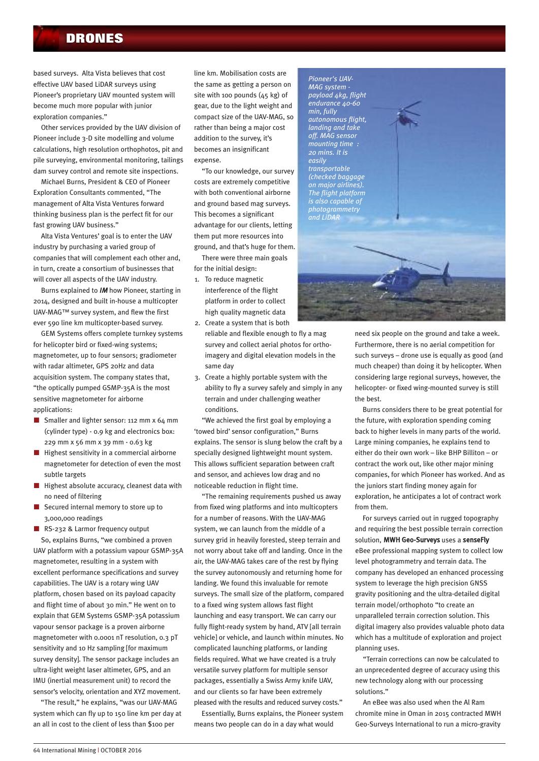based surveys. Alta Vista believes that cost effective UAV based LiDAR surveys using Pioneer's proprietary UAV mounted system will become much more popular with junior exploration companies."

Other services provided by the UAV division of Pioneer include 3-D site modelling and volume calculations, high resolution orthophotos, pit and pile surveying, environmental monitoring, tailings dam survey control and remote site inspections.

Michael Burns, President & CEO of Pioneer Exploration Consultants commented, "The management of Alta Vista Ventures forward thinking business plan is the perfect fit for our fast growing UAV business."

Alta Vista Ventures' goal is to enter the UAV industry by purchasing a varied group of companies that will complement each other and, in turn, create a consortium of businesses that will cover all aspects of the UAV industry.

Burns explained to *IM* how Pioneer, starting in 2014, designed and built in-house a multicopter UAV-MAG™ survey system, and flew the first ever 590 line km multicopter-based survey.

GEM Systems offers complete turnkey systems for helicopter bird or fixed-wing systems; magnetometer, up to four sensors; gradiometer with radar altimeter, GPS 20Hz and data acquisition system. The company states that, "the optically pumped GSMP-35A is the most sensitive magnetometer for airborne applications:

- Smaller and lighter sensor: 112 mm  $x$  64 mm (cylinder type) - 0.9 kg and electronics box: 229 mm x 56 mm x 39 mm - 0.63 kg
- $\blacksquare$  Highest sensitivity in a commercial airborne magnetometer for detection of even the most subtle targets
- $\blacksquare$  Highest absolute accuracy, cleanest data with no need of filtering
- $\blacksquare$  Secured internal memory to store up to 3,000,000 readings
- RS-232 & Larmor frequency output So, explains Burns, "we combined a proven

UAV platform with a potassium vapour GSMP-35A magnetometer, resulting in a system with excellent performance specifications and survey capabilities. The UAV is a rotary wing UAV platform, chosen based on its payload capacity and flight time of about 30 min." He went on to explain that GEM Systems GSMP-35A potassium vapour sensor package is a proven airborne magnetometer with 0.0001 nT resolution, 0.3 pT sensitivity and 10 Hz sampling [for maximum survey density]. The sensor package includes an ultra-light weight laser altimeter, GPS, and an IMU (inertial measurement unit) to record the sensor's velocity, orientation and XYZ movement.

"The result," he explains, "was our UAV-MAG system which can fly up to 150 line km per day at an all in cost to the client of less than \$100 per

line km. Mobilisation costs are the same as getting a person on site with 100 pounds (45 kg) of gear, due to the light weight and compact size of the UAV-MAG, so rather than being a major cost addition to the survey, it's becomes an insignificant expense.

"To our knowledge, our survey costs are extremely competitive with both conventional airborne and ground based mag surveys. This becomes a significant advantage for our clients, letting them put more resources into ground, and that's huge for them.

There were three main goals for the initial design:

- 1. To reduce magnetic interference of the flight platform in order to collect high quality magnetic data 2. Create a system that is both
- reliable and flexible enough to fly a mag survey and collect aerial photos for orthoimagery and digital elevation models in the same day
- 3. Create a highly portable system with the ability to fly a survey safely and simply in any terrain and under challenging weather conditions.

"We achieved the first goal by employing a 'towed bird' sensor configuration," Burns explains. The sensor is slung below the craft by a specially designed lightweight mount system. This allows sufficient separation between craft and sensor, and achieves low drag and no noticeable reduction in flight time.

"The remaining requirements pushed us away from fixed wing platforms and into multicopters for a number of reasons. With the UAV-MAG system, we can launch from the middle of a survey grid in heavily forested, steep terrain and not worry about take off and landing. Once in the air, the UAV-MAG takes care of the rest by flying the survey autonomously and returning home for landing. We found this invaluable for remote surveys. The small size of the platform, compared to a fixed wing system allows fast flight launching and easy transport. We can carry our fully flight-ready system by hand, ATV [all terrain vehicle] or vehicle, and launch within minutes. No complicated launching platforms, or landing fields required. What we have created is a truly versatile survey platform for multiple sensor packages, essentially a Swiss Army knife UAV, and our clients so far have been extremely pleased with the results and reduced survey costs."

Essentially, Burns explains, the Pioneer system means two people can do in a day what would



need six people on the ground and take a week. Furthermore, there is no aerial competition for such surveys – drone use is equally as good (and much cheaper) than doing it by helicopter. When considering large regional surveys, however, the helicopter- or fixed wing-mounted survey is still the best.

Burns considers there to be great potential for the future, with exploration spending coming back to higher levels in many parts of the world. Large mining companies, he explains tend to either do their own work – like BHP Billiton – or contract the work out, like other major mining companies, for which Pioneer has worked. And as the juniors start finding money again for exploration, he anticipates a lot of contract work from them.

For surveys carried out in rugged topography and requiring the best possible terrain correction solution, MWH Geo-Surveys uses a senseFly eBee professional mapping system to collect low level photogrammetry and terrain data. The company has developed an enhanced processing system to leverage the high precision GNSS gravity positioning and the ultra-detailed digital terrain model/orthophoto "to create an unparalleled terrain correction solution. This digital imagery also provides valuable photo data which has a multitude of exploration and project planning uses.

"Terrain corrections can now be calculated to an unprecedented degree of accuracy using this new technology along with our processing solutions."

An eBee was also used when the Al Ram chromite mine in Oman in 2015 contracted MWH Geo-Surveys International to run a micro-gravity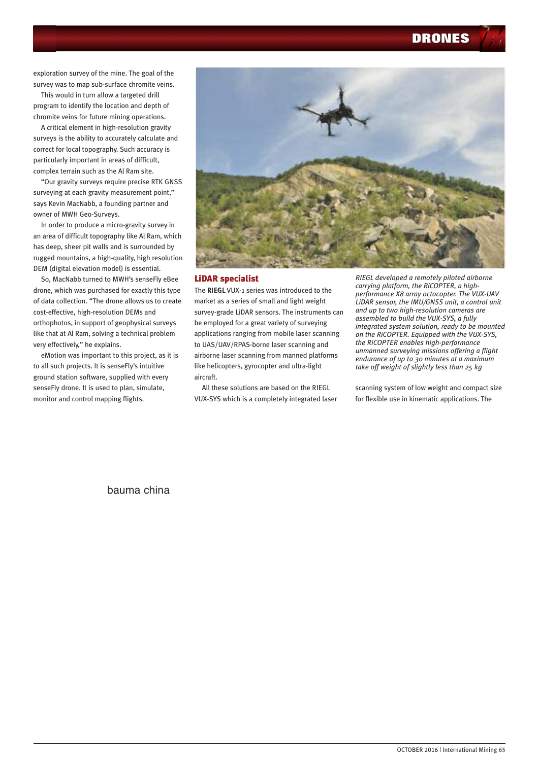exploration survey of the mine. The goal of the survey was to map sub-surface chromite veins.

This would in turn allow a targeted drill program to identify the location and depth of chromite veins for future mining operations.

A critical element in high-resolution gravity surveys is the ability to accurately calculate and correct for local topography. Such accuracy is particularly important in areas of difficult, complex terrain such as the Al Ram site.

"Our gravity surveys require precise RTK GNSS surveying at each gravity measurement point," says Kevin MacNabb, a founding partner and owner of MWH Geo-Surveys.

In order to produce a micro-gravity survey in an area of difficult topography like Al Ram, which has deep, sheer pit walls and is surrounded by rugged mountains, a high-quality, high resolution DEM (digital elevation model) is essential.

So, MacNabb turned to MWH's senseFly eBee drone, which was purchased for exactly this type of data collection. "The drone allows us to create cost-effective, high-resolution DEMs and orthophotos, in support of geophysical surveys like that at Al Ram, solving a technical problem very effectively," he explains.

eMotion was important to this project, as it is to all such projects. It is senseFly's intuitive ground station software, supplied with every senseFly drone. It is used to plan, simulate, monitor and control mapping flights.



### **LiDAR specialist**

The RIEGL VUX-1 series was introduced to the market as a series of small and light weight survey-grade LiDAR sensors. The instruments can be employed for a great variety of surveying applications ranging from mobile laser scanning to UAS/UAV/RPAS-borne laser scanning and airborne laser scanning from manned platforms like helicopters, gyrocopter and ultra-light aircraft.

All these solutions are based on the RIEGL VUX-SYS which is a completely integrated laser

*RIEGL developed a remotely piloted airborne carrying platform, the RiCOPTER, a highperformance X8 array octocopter. The VUX-UAV LiDAR sensor, the IMU/GNSS unit, a control unit and up to two high-resolution cameras are assembled to build the VUX-SYS, a fully integrated system solution, ready to be mounted on the RiCOPTER. Equipped with the VUX-SYS, the RiCOPTER enables high-performance unmanned surveying missions offering a flight endurance of up to 30 minutes at a maximum take off weight of slightly less than 25 kg*

scanning system of low weight and compact size for flexible use in kinematic applications. The

bauma china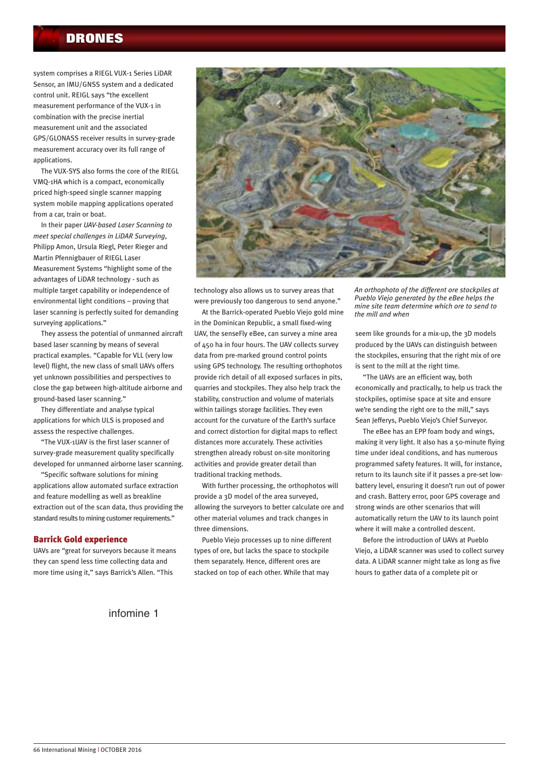system comprises a RIEGL VUX-1 Series LiDAR Sensor, an IMU/GNSS system and a dedicated control unit. REIGL says "the excellent measurement performance of the VUX-1 in combination with the precise inertial measurement unit and the associated GPS/GLONASS receiver results in survey-grade measurement accuracy over its full range of applications.

The VUX-SYS also forms the core of the RIEGL VMQ-1HA which is a compact, economically priced high-speed single scanner mapping system mobile mapping applications operated from a car, train or boat.

In their paper *UAV-based Laser Scanning to meet special challenges in LiDAR Surveying*, Philipp Amon, Ursula Riegl, Peter Rieger and Martin Pfennigbauer of RIEGL Laser Measurement Systems "highlight some of the advantages of LiDAR technology - such as multiple target capability or independence of environmental light conditions – proving that laser scanning is perfectly suited for demanding surveying applications."

They assess the potential of unmanned aircraft based laser scanning by means of several practical examples. "Capable for VLL (very low level) flight, the new class of small UAVs offers yet unknown possibilities and perspectives to close the gap between high-altitude airborne and ground-based laser scanning."

They differentiate and analyse typical applications for which ULS is proposed and assess the respective challenges.

"The VUX-1UAV is the first laser scanner of survey-grade measurement quality specifically developed for unmanned airborne laser scanning.

"Specific software solutions for mining applications allow automated surface extraction and feature modelling as well as breakline extraction out of the scan data, thus providing the standard results to mining customer requirements."

## **Barrick Gold experience**

UAVs are "great for surveyors because it means they can spend less time collecting data and more time using it," says Barrick's Allen. "This



technology also allows us to survey areas that were previously too dangerous to send anyone."

At the Barrick-operated Pueblo Viejo gold mine in the Dominican Republic, a small fixed-wing UAV, the senseFly eBee, can survey a mine area of 450 ha in four hours. The UAV collects survey data from pre-marked ground control points using GPS technology. The resulting orthophotos provide rich detail of all exposed surfaces in pits, quarries and stockpiles. They also help track the stability, construction and volume of materials within tailings storage facilities. They even account for the curvature of the Earth's surface and correct distortion for digital maps to reflect distances more accurately. These activities strengthen already robust on-site monitoring activities and provide greater detail than traditional tracking methods.

With further processing, the orthophotos will provide a 3D model of the area surveyed, allowing the surveyors to better calculate ore and other material volumes and track changes in three dimensions.

Pueblo Viejo processes up to nine different types of ore, but lacks the space to stockpile them separately. Hence, different ores are stacked on top of each other. While that may

*An orthophoto of the different ore stockpiles at Pueblo Viejo generated by the eBee helps the mine site team determine which ore to send to the mill and when*

seem like grounds for a mix-up, the 3D models produced by the UAVs can distinguish between the stockpiles, ensuring that the right mix of ore is sent to the mill at the right time.

"The UAVs are an efficient way, both economically and practically, to help us track the stockpiles, optimise space at site and ensure we're sending the right ore to the mill," says Sean Jefferys, Pueblo Viejo's Chief Surveyor.

The eBee has an EPP foam body and wings, making it very light. It also has a 50-minute flying time under ideal conditions, and has numerous programmed safety features. It will, for instance, return to its launch site if it passes a pre-set lowbattery level, ensuring it doesn't run out of power and crash. Battery error, poor GPS coverage and strong winds are other scenarios that will automatically return the UAV to its launch point where it will make a controlled descent.

Before the introduction of UAVs at Pueblo Viejo, a LiDAR scanner was used to collect survey data. A LiDAR scanner might take as long as five hours to gather data of a complete pit or

infomine 1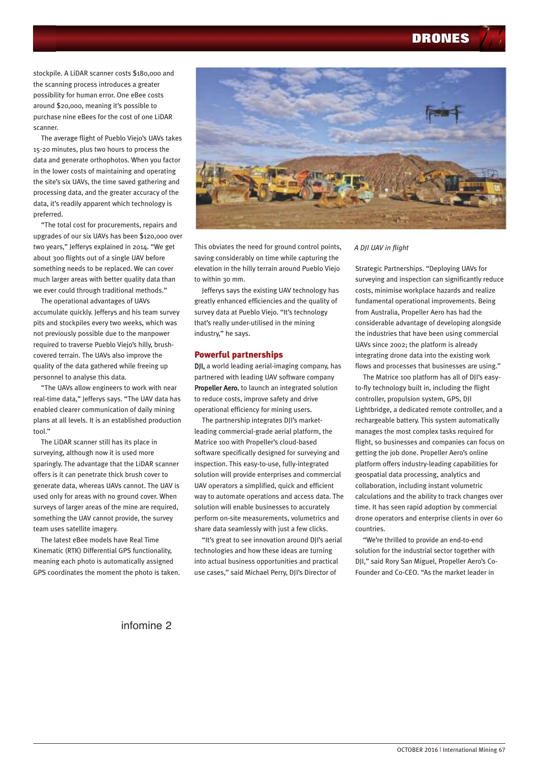stockpile. A LiDAR scanner costs \$180,000 and the scanning process introduces a greater possibility for human error. One eBee costs around \$20,000, meaning it's possible to purchase nine eBees for the cost of one LiDAR scanner.

The average flight of Pueblo Viejo's UAVs takes 15-20 minutes, plus two hours to process the data and generate orthophotos. When you factor in the lower costs of maintaining and operating the site's six UAVs, the time saved gathering and processing data, and the greater accuracy of the data, it's readily apparent which technology is preferred.

"The total cost for procurements, repairs and upgrades of our six UAVs has been \$120,000 over two years," Jefferys explained in 2014. "We get about 300 flights out of a single UAV before something needs to be replaced. We can cover much larger areas with better quality data than we ever could through traditional methods."

The operational advantages of UAVs accumulate quickly. Jefferys and his team survey pits and stockpiles every two weeks, which was not previously possible due to the manpower required to traverse Pueblo Viejo's hilly, brushcovered terrain. The UAVs also improve the quality of the data gathered while freeing up personnel to analyse this data.

"The UAVs allow engineers to work with near real-time data," Jefferys says. "The UAV data has enabled clearer communication of daily mining plans at all levels. It is an established production tool."

The LiDAR scanner still has its place in surveying, although now it is used more sparingly. The advantage that the LiDAR scanner offers is it can penetrate thick brush cover to generate data, whereas UAVs cannot. The UAV is used only for areas with no ground cover. When surveys of larger areas of the mine are required, something the UAV cannot provide, the survey team uses satellite imagery.

The latest eBee models have Real Time Kinematic (RTK) Differential GPS functionality, meaning each photo is automatically assigned GPS coordinates the moment the photo is taken.



This obviates the need for ground control points, saving considerably on time while capturing the elevation in the hilly terrain around Pueblo Viejo to within 30 mm.

Jefferys says the existing UAV technology has greatly enhanced efficiencies and the quality of survey data at Pueblo Viejo. "It's technology that's really under-utilised in the mining industry," he says.

### **Powerful partnerships**

DJI, a world leading aerial-imaging company, has partnered with leading UAV software company Propeller Aero, to launch an integrated solution to reduce costs, improve safety and drive operational efficiency for mining users.

The partnership integrates DJI's marketleading commercial-grade aerial platform, the Matrice 100 with Propeller's cloud-based software specifically designed for surveying and inspection. This easy-to-use, fully-integrated solution will provide enterprises and commercial UAV operators a simplified, quick and efficient way to automate operations and access data. The solution will enable businesses to accurately perform on-site measurements, volumetrics and share data seamlessly with just a few clicks.

"It's great to see innovation around DJI's aerial technologies and how these ideas are turning into actual business opportunities and practical use cases," said Michael Perry, DJI's Director of

#### *A DJI UAV in flight*

Strategic Partnerships. "Deploying UAVs for surveying and inspection can significantly reduce costs, minimise workplace hazards and realize fundamental operational improvements. Being from Australia, Propeller Aero has had the considerable advantage of developing alongside the industries that have been using commercial UAVs since 2002; the platform is already integrating drone data into the existing work flows and processes that businesses are using."

The Matrice 100 platform has all of DJI's easyto-fly technology built in, including the flight controller, propulsion system, GPS, DJI Lightbridge, a dedicated remote controller, and a rechargeable battery. This system automatically manages the most complex tasks required for flight, so businesses and companies can focus on getting the job done. Propeller Aero's online platform offers industry-leading capabilities for geospatial data processing, analytics and collaboration, including instant volumetric calculations and the ability to track changes over time. It has seen rapid adoption by commercial drone operators and enterprise clients in over 60 countries.

"We're thrilled to provide an end-to-end solution for the industrial sector together with DJI," said Rory San Miguel, Propeller Aero's Co-Founder and Co-CEO. "As the market leader in

infomine 2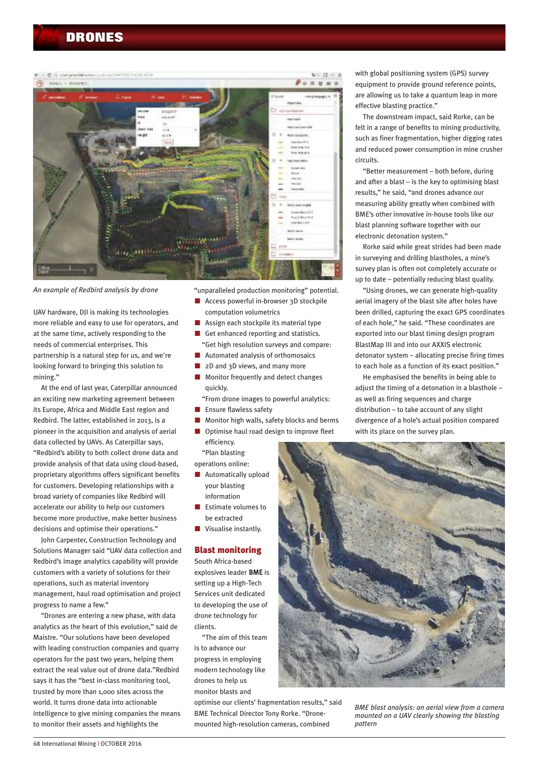

*An example of Redbird analysis by drone*

UAV hardware, DJI is making its technologies more reliable and easy to use for operators, and at the same time, actively responding to the needs of commercial enterprises. This partnership is a natural step for us, and we're looking forward to bringing this solution to mining."

At the end of last year, Caterpillar announced an exciting new marketing agreement between its Europe, Africa and Middle East region and Redbird. The latter, established in 2013, is a pioneer in the acquisition and analysis of aerial data collected by UAVs. As Caterpillar says, "Redbird's ability to both collect drone data and provide analysis of that data using cloud-based, proprietary algorithms offers significant benefits for customers. Developing relationships with a broad variety of companies like Redbird will accelerate our ability to help our customers become more productive, make better business decisions and optimise their operations."

John Carpenter, Construction Technology and Solutions Manager said "UAV data collection and Redbird's image analytics capability will provide customers with a variety of solutions for their operations, such as material inventory management, haul road optimisation and project progress to name a few."

"Drones are entering a new phase, with data analytics as the heart of this evolution," said de Maistre. "Our solutions have been developed with leading construction companies and quarry operators for the past two years, helping them extract the real value out of drone data."Redbird says it has the "best in-class monitoring tool, trusted by more than 1,000 sites across the world. It turns drone data into actionable intelligence to give mining companies the means to monitor their assets and highlights the

"unparalleled production monitoring" potential.

- Access powerful in-browser 3D stockpile computation volumetrics
- $\blacksquare$  Assign each stockpile its material type
- $\blacksquare$  Get enhanced reporting and statistics. "Get high resolution surveys and compare:
- $\blacksquare$  Automated analysis of orthomosaics
- $\Box$  2D and 3D views, and many more
- Monitor frequently and detect changes quickly.
- "From drone images to powerful analytics:  $n$  Ensure flawless safety
- n Monitor high walls, safety blocks and berms
- Optimise haul road design to improve fleet efficiency.
- "Plan blasting
- operations online:
- $\blacksquare$  Automatically upload your blasting information
- Estimate volumes to be extracted
- $\blacksquare$  Visualise instantly.

### **Blast monitoring**

South Africa-based explosives leader BME is setting up a High-Tech Services unit dedicated to developing the use of drone technology for clients.

"The aim of this team is to advance our progress in employing modern technology like drones to help us monitor blasts and

optimise our clients' fragmentation results," said BME Technical Director Tony Rorke. "Dronemounted high-resolution cameras, combined

with global positioning system (GPS) survey equipment to provide ground reference points, are allowing us to take a quantum leap in more effective blasting practice."

The downstream impact, said Rorke, can be felt in a range of benefits to mining productivity, such as finer fragmentation, higher digging rates and reduced power consumption in mine crusher circuits.

"Better measurement – both before, during and after a blast – is the key to optimising blast results," he said, "and drones advance our measuring ability greatly when combined with BME's other innovative in-house tools like our blast planning software together with our electronic detonation system."

Rorke said while great strides had been made in surveying and drilling blastholes, a mine's survey plan is often not completely accurate or up to date – potentially reducing blast quality.

"Using drones, we can generate high-quality aerial imagery of the blast site after holes have been drilled, capturing the exact GPS coordinates of each hole," he said. "These coordinates are exported into our blast timing design program BlastMap III and into our AXXIS electronic detonator system – allocating precise firing times to each hole as a function of its exact position."

He emphasised the benefits in being able to adjust the timing of a detonation in a blasthole – as well as firing sequences and charge distribution – to take account of any slight divergence of a hole's actual position compared with its place on the survey plan.



*BME blast analysis: an aerial view from a camera mounted on a UAV clearly showing the blasting pattern*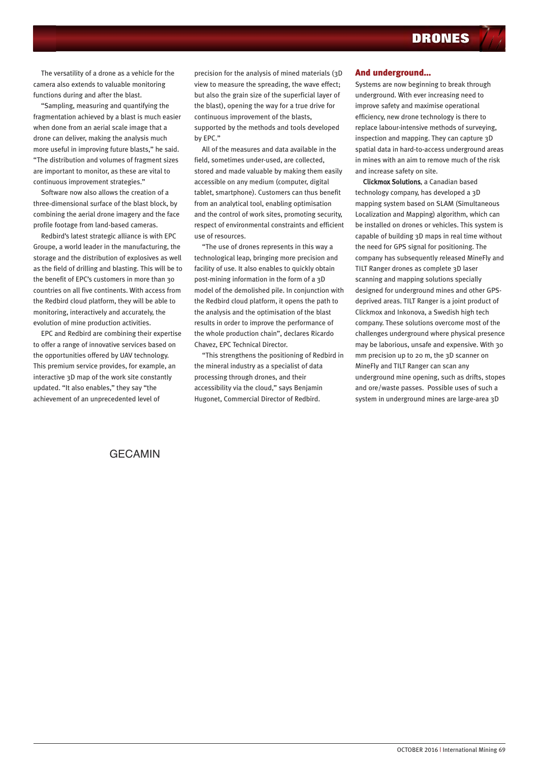The versatility of a drone as a vehicle for the camera also extends to valuable monitoring functions during and after the blast.

"Sampling, measuring and quantifying the fragmentation achieved by a blast is much easier when done from an aerial scale image that a drone can deliver, making the analysis much more useful in improving future blasts," he said. "The distribution and volumes of fragment sizes are important to monitor, as these are vital to continuous improvement strategies."

Software now also allows the creation of a three-dimensional surface of the blast block, by combining the aerial drone imagery and the face profile footage from land-based cameras.

Redbird's latest strategic alliance is with EPC Groupe, a world leader in the manufacturing, the storage and the distribution of explosives as well as the field of drilling and blasting. This will be to the benefit of EPC's customers in more than 30 countries on all five continents. With access from the Redbird cloud platform, they will be able to monitoring, interactively and accurately, the evolution of mine production activities.

EPC and Redbird are combining their expertise to offer a range of innovative services based on the opportunities offered by UAV technology. This premium service provides, for example, an interactive 3D map of the work site constantly updated. "It also enables," they say "the achievement of an unprecedented level of

precision for the analysis of mined materials (3D view to measure the spreading, the wave effect; but also the grain size of the superficial layer of the blast), opening the way for a true drive for continuous improvement of the blasts, supported by the methods and tools developed by EPC."

All of the measures and data available in the field, sometimes under-used, are collected, stored and made valuable by making them easily accessible on any medium (computer, digital tablet, smartphone). Customers can thus benefit from an analytical tool, enabling optimisation and the control of work sites, promoting security, respect of environmental constraints and efficient use of resources.

"The use of drones represents in this way a technological leap, bringing more precision and facility of use. It also enables to quickly obtain post-mining information in the form of a 3D model of the demolished pile. In conjunction with the Redbird cloud platform, it opens the path to the analysis and the optimisation of the blast results in order to improve the performance of the whole production chain", declares Ricardo Chavez, EPC Technical Director.

"This strengthens the positioning of Redbird in the mineral industry as a specialist of data processing through drones, and their accessibility via the cloud," says Benjamin Hugonet, Commercial Director of Redbird.

## **And underground…**

Systems are now beginning to break through underground. With ever increasing need to improve safety and maximise operational efficiency, new drone technology is there to replace labour-intensive methods of surveying, inspection and mapping. They can capture 3D spatial data in hard-to-access underground areas in mines with an aim to remove much of the risk and increase safety on site.

Clickmox Solutions, a Canadian based technology company, has developed a 3D mapping system based on SLAM (Simultaneous Localization and Mapping) algorithm, which can be installed on drones or vehicles. This system is capable of building 3D maps in real time without the need for GPS signal for positioning. The company has subsequently released MineFly and TILT Ranger drones as complete 3D laser scanning and mapping solutions specially designed for underground mines and other GPSdeprived areas. TILT Ranger is a joint product of Clickmox and Inkonova, a Swedish high tech company. These solutions overcome most of the challenges underground where physical presence may be laborious, unsafe and expensive. With 30 mm precision up to 20 m, the 3D scanner on MineFly and TILT Ranger can scan any underground mine opening, such as drifts, stopes and ore/waste passes. Possible uses of such a system in underground mines are large-area 3D

## GECAMIN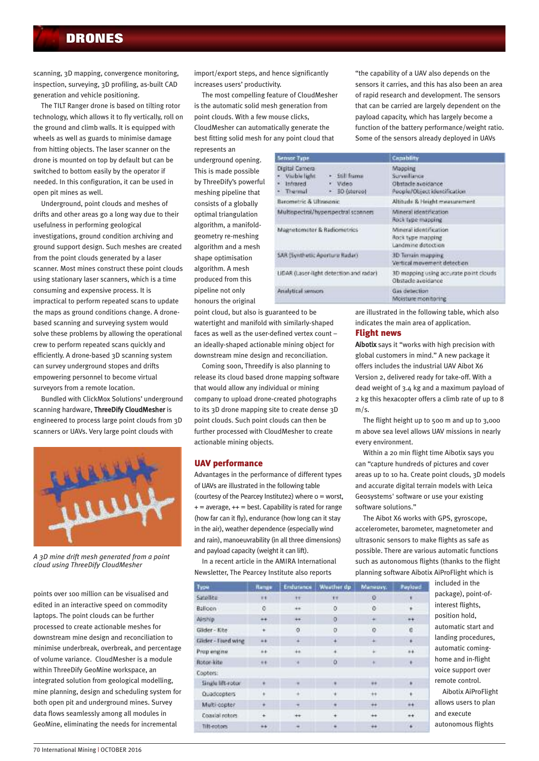scanning, 3D mapping, convergence monitoring, inspection, surveying, 3D profiling, as-built CAD generation and vehicle positioning.

The TILT Ranger drone is based on tilting rotor technology, which allows it to fly vertically, roll on the ground and climb walls. It is equipped with wheels as well as guards to minimise damage from hitting objects. The laser scanner on the drone is mounted on top by default but can be switched to bottom easily by the operator if needed. In this configuration, it can be used in open pit mines as well.

Underground, point clouds and meshes of drifts and other areas go a long way due to their usefulness in performing geological investigations, ground condition archiving and ground support design. Such meshes are created from the point clouds generated by a laser scanner. Most mines construct these point clouds using stationary laser scanners, which is a time consuming and expensive process. It is impractical to perform repeated scans to update the maps as ground conditions change. A dronebased scanning and surveying system would solve these problems by allowing the operational crew to perform repeated scans quickly and efficiently. A drone-based 3D scanning system can survey underground stopes and drifts empowering personnel to become virtual surveyors from a remote location.

Bundled with ClickMox Solutions' underground scanning hardware, ThreeDify CloudMesher is engineered to process large point clouds from 3D scanners or UAVs. Very large point clouds with



*A 3D mine drift mesh generated from a point cloud using ThreeDify CloudMesher*

points over 100 million can be visualised and edited in an interactive speed on commodity laptops. The point clouds can be further processed to create actionable meshes for downstream mine design and reconciliation to minimise underbreak, overbreak, and percentage of volume variance. CloudMesher is a module within ThreeDify GeoMine workspace, an integrated solution from geological modelling, mine planning, design and scheduling system for both open pit and underground mines. Survey data flows seamlessly among all modules in GeoMine, eliminating the needs for incremental

import/export steps, and hence significantly increases users' productivity.

The most compelling feature of CloudMesher is the automatic solid mesh generation from point clouds. With a few mouse clicks, CloudMesher can automatically generate the best fitting solid mesh for any point cloud that represents an

underground opening. This is made possible by ThreeDify's powerful meshing pipeline that consists of a globally optimal triangulation algorithm, a manifoldgeometry re-meshing algorithm and a mesh shape optimisation algorithm. A mesh produced from this pipeline not only honours the original

point cloud, but also is guaranteed to be watertight and manifold with similarly-shaped faces as well as the user-defined vertex count – an ideally-shaped actionable mining object for downstream mine design and reconciliation.

Coming soon, Threedify is also planning to release its cloud based drone mapping software that would allow any individual or mining company to upload drone-created photographs to its 3D drone mapping site to create dense 3D point clouds. Such point clouds can then be further processed with CloudMesher to create actionable mining objects.

## **UAV performance**

Advantages in the performance of different types of UAVs are illustrated in the following table (courtesy of the Pearcey Institute2) where 0 = worst,  $+=$  average,  $++$  = best. Capability is rated for range (how far can it fly), endurance (how long can it stay in the air), weather dependence (especially wind and rain), manoeuvrability (in all three dimensions) and payload capacity (weight it can lift).

In a recent article in the AMIRA International Newsletter, The Pearcey Institute also reports

| Type                | <b><i><u>Rampy</u></i></b> |           | Endurance Weather dp | Manauvy.  | Paylowd      |
|---------------------|----------------------------|-----------|----------------------|-----------|--------------|
| Satellite           | 11                         | Ħ         | $+ +$                | o         |              |
| <b>Balloon</b>      | ō                          | $+$       | o                    | $\circ$   |              |
| Airship             | $+ +$                      | $\pm\phi$ | ö                    | ÷         | $++$         |
| Gilder-Kite         | ¥                          | ø         | o                    | $\circ$ . | c            |
| Glider - Fixed wing | $+ +$                      | $\pm$     | $\,$ + $\,$          | $+$       | $+$          |
| Prop engine         | $+ +$                      | $+ +$     |                      | ä         | $+4$         |
| Rotor-kite          | $+1$                       | ×         | ۱O                   | ×         | $\mathbf{r}$ |
| Copters:            |                            |           |                      |           |              |
| Single lift-rotor   | ٠                          |           | ٠                    | $\pm\pm$  | ٠.           |
| Quadcopters         |                            | ÷.        | ٠                    | $++$      | ٠            |
| Multi-copter.       |                            |           | ٠                    | $^{++}$   | $+$          |
| Coaxial rotors      |                            | ⊷         |                      | ₩         | $^{++}$      |
| Tilt-rotors         | $+1$                       |           | ٠                    | ÷÷        | $\ddotmark$  |

"the capability of a UAV also depends on the sensors it carries, and this has also been an area of rapid research and development. The sensors that can be carried are largely dependent on the payload capacity, which has largely become a function of the battery performance/weight ratio. Some of the sensors already deployed in UAVs

| <b>Sensor Type</b>                                                                                      | Capability                                                                    |  |  |
|---------------------------------------------------------------------------------------------------------|-------------------------------------------------------------------------------|--|--|
| Digital Camera<br>+ Still frame<br>Visible light<br>· Infrared<br>· Video<br>+ 30 (stereo)<br>· Thermal | Mapping<br>Surveillance<br>Obstacle avoidance<br>People/Object identification |  |  |
| Barometric & Ultrasonic                                                                                 | Altitude & Height measurement.                                                |  |  |
| Multispectral/hyperspectral scanners.                                                                   | Mineral identification<br>Rock type mapping                                   |  |  |
| Magnetomater & Radiomatrics                                                                             | Mineral identification<br>Rock type mapping<br>Landmine detection             |  |  |
| SAR (Synthetic Aperture Radar)                                                                          | 3D Terrain mapping<br>Vertical movement detection                             |  |  |
| LIDAR (Laser-light detection and radar)                                                                 | 3D mapping using accurate point clouds<br>Obstacle avoidance                  |  |  |
| Analytical serioons                                                                                     | Gas detection<br>Mioisture monitoring                                         |  |  |

are illustrated in the following table, which also indicates the main area of application.

## **Flight news**

Aibotix says it "works with high precision with global customers in mind." A new package it offers includes the industrial UAV Aibot X6 Version 2, delivered ready for take-off. With a dead weight of 3.4 kg and a maximum payload of 2 kg this hexacopter offers a climb rate of up to 8  $m/s$ .

The flight height up to 500 m and up to 3,000 m above sea level allows UAV missions in nearly every environment.

Within a 20 min flight time Aibotix says you can "capture hundreds of pictures and cover areas up to 10 ha. Create point clouds, 3D models and accurate digital terrain models with Leica Geosystems' software or use your existing software solutions."

The Aibot X6 works with GPS, gyroscope, accelerometer, barometer, magnetometer and ultrasonic sensors to make flights as safe as possible. There are various automatic functions such as autonomous flights (thanks to the flight planning software Aibotix AiProFlight which is

> included in the package), point-ofinterest flights, position hold, automatic start and landing procedures, automatic cominghome and in-flight voice support over remote control.

Aibotix AiProFlight allows users to plan and execute autonomous flights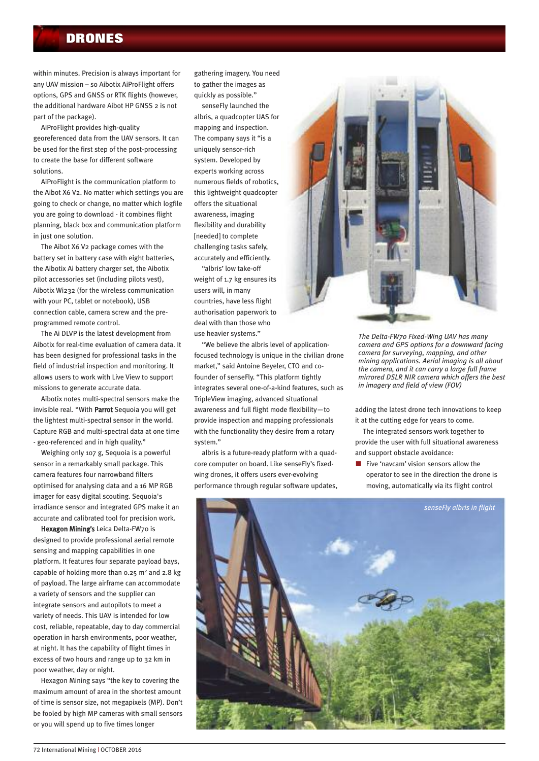within minutes. Precision is always important for any UAV mission – so Aibotix AiProFlight offers options, GPS and GNSS or RTK flights (however, the additional hardware Aibot HP GNSS 2 is not part of the package).

AiProFlight provides high-quality georeferenced data from the UAV sensors. It can be used for the first step of the post-processing to create the base for different software solutions.

AiProFlight is the communication platform to the Aibot X6 V2. No matter which settings you are going to check or change, no matter which logfile you are going to download - it combines flight planning, black box and communication platform in just one solution.

The Aibot X6 V2 package comes with the battery set in battery case with eight batteries, the Aibotix Ai battery charger set, the Aibotix pilot accessories set (including pilots vest), Aibotix Wi232 (for the wireless communication with your PC, tablet or notebook), USB connection cable, camera screw and the preprogrammed remote control.

The Ai DLVP is the latest development from Aibotix for real-time evaluation of camera data. It has been designed for professional tasks in the field of industrial inspection and monitoring. It allows users to work with Live View to support missions to generate accurate data.

Aibotix notes multi-spectral sensors make the invisible real. "With Parrot Sequoia you will get the lightest multi-spectral sensor in the world. Capture RGB and multi-spectral data at one time - geo-referenced and in high quality."

Weighing only 107 g, Sequoia is a powerful sensor in a remarkably small package. This camera features four narrowband filters optimised for analysing data and a 16 MP RGB imager for easy digital scouting. Sequoia's irradiance sensor and integrated GPS make it an accurate and calibrated tool for precision work.

Hexagon Mining's Leica Delta-FW70 is designed to provide professional aerial remote sensing and mapping capabilities in one platform. It features four separate payload bays, capable of holding more than  $0.25$  m<sup>2</sup> and  $2.8$  kg of payload. The large airframe can accommodate a variety of sensors and the supplier can integrate sensors and autopilots to meet a variety of needs. This UAV is intended for low cost, reliable, repeatable, day to day commercial operation in harsh environments, poor weather, at night. It has the capability of flight times in excess of two hours and range up to 32 km in poor weather, day or night.

Hexagon Mining says "the key to covering the maximum amount of area in the shortest amount of time is sensor size, not megapixels (MP). Don't be fooled by high MP cameras with small sensors or you will spend up to five times longer

gathering imagery. You need to gather the images as quickly as possible."

senseFly launched the albris, a quadcopter UAS for mapping and inspection. The company says it "is a uniquely sensor-rich system. Developed by experts working across numerous fields of robotics, this lightweight quadcopter offers the situational awareness, imaging flexibility and durability [needed] to complete challenging tasks safely, accurately and efficiently.

"albris' low take-off weight of 1.7 kg ensures its users will, in many countries, have less flight authorisation paperwork to deal with than those who use heavier systems."

"We believe the albris level of applicationfocused technology is unique in the civilian drone market," said Antoine Beyeler, CTO and cofounder of senseFly. "This platform tightly integrates several one-of-a-kind features, such as TripleView imaging, advanced situational awareness and full flight mode flexibility—to provide inspection and mapping professionals with the functionality they desire from a rotary system."

albris is a future-ready platform with a quadcore computer on board. Like senseFly's fixedwing drones, it offers users ever-evolving performance through regular software updates,



*The Delta-FW70 Fixed-Wing UAV has many camera and GPS options for a downward facing camera for surveying, mapping, and other mining applications. Aerial imaging is all about the camera, and it can carry a large full frame mirrored DSLR NIR camera which offers the best in imagery and field of view (FOV)*

adding the latest drone tech innovations to keep it at the cutting edge for years to come.

The integrated sensors work together to provide the user with full situational awareness and support obstacle avoidance:

 $\blacksquare$  Five 'navcam' vision sensors allow the operator to see in the direction the drone is moving, automatically via its flight control